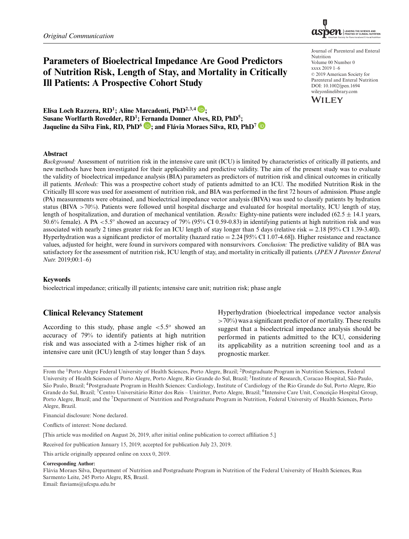

# **Parameters of Bioelectrical Impedance Are Good Predictors of Nutrition Risk, Length of Stay, and Mortality in Critically Ill Patients: A Prospective Cohort Study**

Elisa Loch Razzera, RD<sup>1</sup>; Aline Marcadenti, PhD<sup>2,3,4</sup> **D**; Susane Worlfarth Rovedder, RD<sup>1</sup>; Fernanda Donner Alves, RD, PhD<sup>5</sup>; **Jaqueline da Silva Fink, RD, PhD6 ; and Flavia Moraes Silva, RD, PhD ´ <sup>7</sup>**

Journal of Parenteral and Enteral Nutrition Volume 00 Number 0 xxxx 2019 1–6 © 2019 American Society for Parenteral and Enteral Nutrition DOI: 10.1002/jpen.1694 wileyonlinelibrary.com



#### **Abstract**

*Background:* Assessment of nutrition risk in the intensive care unit (ICU) is limited by characteristics of critically ill patients, and new methods have been investigated for their applicability and predictive validity. The aim of the present study was to evaluate the validity of bioelectrical impedance analysis (BIA) parameters as predictors of nutrition risk and clinical outcomes in critically ill patients. *Methods:* This was a prospective cohort study of patients admitted to an ICU. The modified Nutrition Risk in the Critically Ill score was used for assessment of nutrition risk, and BIA was performed in the first 72 hours of admission. Phase angle (PA) measurements were obtained, and bioelectrical impedance vector analysis (BIVA) was used to classify patients by hydration status (BIVA >70%). Patients were followed until hospital discharge and evaluated for hospital mortality, ICU length of stay, length of hospitalization, and duration of mechanical ventilation. *Results:* Eighty-nine patients were included  $(62.5 \pm 14.1 \text{ years},$ 50.6% female). A PA  $<$  5.5° showed an accuracy of 79% (95% CI 0.59-0.83) in identifying patients at high nutrition risk and was associated with nearly 2 times greater risk for an ICU length of stay longer than 5 days (relative risk = 2.18 [95% CI 1.39-3.40]). Hyperhydration was a significant predictor of mortality (hazard ratio = 2.24 [95% CI 1.07-4.68]). Higher resistance and reactance values, adjusted for height, were found in survivors compared with nonsurvivors. *Conclusion:* The predictive validity of BIA was satisfactory for the assessment of nutrition risk, ICU length of stay, and mortality in critically ill patients. (*JPEN J Parenter Enteral Nutr.* 2019;00:1–6)

#### **Keywords**

bioelectrical impedance; critically ill patients; intensive care unit; nutrition risk; phase angle

## **Clinical Relevancy Statement**

According to this study, phase angle  $\lt 5.5^\circ$  showed an accuracy of 79% to identify patients at high nutrition risk and was associated with a 2-times higher risk of an intensive care unit (ICU) length of stay longer than 5 days.

Hyperhydration (bioelectrical impedance vector analysis  $>70\%$ ) was a significant predictor of mortality. These results suggest that a bioelectrical impedance analysis should be performed in patients admitted to the ICU, considering its applicability as a nutrition screening tool and as a prognostic marker.

Financial disclosure: None declared.

Conflicts of interest: None declared.

[This article was modified on August 26, 2019, after initial online publication to correct affiliation 5.]

Received for publication January 15, 2019; accepted for publication July 23, 2019.

This article originally appeared online on xxxx 0, 2019.

#### **Corresponding Author:**

Flavia Moraes Silva, Department of Nutrition and Postgraduate Program in Nutrition of the Federal University of Health Sciences, Rua ´ Sarmento Leite, 245 Porto Alegre, RS, Brazil.

Email: flaviams@ufcspa.edu.br

From the 1Porto Alegre Federal University of Health Sciences, Porto Alegre, Brazil; 2Postgraduate Program in Nutrition Sciences, Federal University of Health Sciences of Porto Alegre, Porto Alegre, Rio Grande do Sul, Brazil; <sup>3</sup>Institute of Research, Coracao Hospital, São Paulo, São Paulo, Brazil; <sup>4</sup>Postgraduate Program in Health Sciences: Cardiology, Institute of Cardiology of the Rio Grande do Sul, Porto Alegre, Rio Grande do Sul, Brazil; <sup>5</sup>Centro Universitário Ritter dos Reis – Uniritter, Porto Alegre, Brazil; <sup>6</sup>Intensive Care Unit, Conceição Hospital Group, Porto Alegre, Brazil; and the <sup>7</sup>Department of Nutrition and Postgraduate Program in Nutrition, Federal University of Health Sciences, Porto Alegre, Brazil.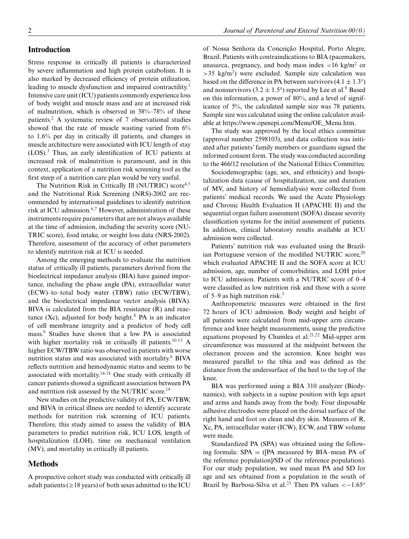#### **Introduction**

Stress response in critically ill patients is characterized by severe inflammation and high protein catabolism. It is also marked by decreased efficiency of protein utilization, leading to muscle dysfunction and impaired contractility.<sup>1</sup> Intensive care unit (ICU) patients commonly experience loss of body weight and muscle mass and are at increased risk of malnutrition, which is observed in 38%–78% of these patients.<sup>2</sup> A systematic review of 7 observational studies showed that the rate of muscle wasting varied from 6% to 1.6% per day in critically ill patients, and changes in muscle architecture were associated with ICU length of stay (LOS).<sup>3</sup> Thus, an early identification of ICU patients at increased risk of malnutrition is paramount, and in this context, application of a nutrition risk screening tool as the first steep of a nutrition care plan would be very useful.

The Nutrition Risk in Critically Ill (NUTRIC) score<sup>4,5</sup> and the Nutritional Risk Screening (NRS)-2002 are recommended by international guidelines to identify nutrition risk at ICU admission.6,7 However, administration of these instruments require parameters that are not always available at the time of admission, including the severity score (NU-TRIC score), food intake, or weight loss data (NRS-2002). Therefore, assessment of the accuracy of other parameters to identify nutrition risk at ICU is needed.

Among the emerging methods to evaluate the nutrition status of critically ill patients, parameters derived from the bioelectrical impedance analysis (BIA) have gained importance, including the phase angle (PA), extracellular water (ECW)–to–total body water (TBW) ratio (ECW/TBW), and the bioelectrical impedance vector analysis (BIVA). BIVA is calculated from the BIA resistance (R) and reactance (Xc), adjusted for body height.<sup>8</sup> PA is an indicator of cell membrane integrity and a predictor of body cell mass.9 Studies have shown that a low PA is associated with higher mortality risk in critically ill patients.<sup>10-13</sup> A higher ECW/TBW ratio was observed in patients with worse nutrition status and was associated with mortality.8 BIVA reflects nutrition and hemodynamic status and seems to be associated with mortality.14-18 One study with critically ill cancer patients showed a significant association between PA and nutrition risk assessed by the NUTRIC score.<sup>19</sup>

New studies on the predictive validity of PA, ECW/TBW, and BIVA in critical illness are needed to identify accurate methods for nutrition risk screening of ICU patients. Therefore, this study aimed to assess the validity of BIA parameters to predict nutrition risk, ICU LOS, length of hospitalization (LOH), time on mechanical ventilation (MV), and mortality in critically ill patients.

## **Methods**

A prospective cohort study was conducted with critically ill adult patients ( $\geq$  18 years) of both sexes admitted to the ICU

of Nossa Senhora da Conceição Hospital, Porto Alegre, Brazil. Patients with contraindications to BIA (pacemakers, anasarca, pregnancy, and body mass index  $\langle$ 16 kg/m<sup>2</sup> or  $>35$  kg/m<sup>2</sup>) were excluded. Sample size calculation was based on the difference in PA between survivors  $(4.1 \pm 1.3^{\circ})$ and nonsurvivors (3.2  $\pm$  1.5°) reported by Lee et al.<sup>9</sup> Based on this information, a power of 80%, and a level of significance of 5%, the calculated sample size was 78 patients. Sample size was calculated using the online calculator available at https://www.openepi.com/Menu/OE\_Menu.htm.

The study was approved by the local ethics committee (approval number 2598103), and data collection was initiated after patients' family members or guardians signed the informed consent form. The study was conducted according to the 466/12 resolution of the National Ethics Committee.

Sociodemographic (age, sex, and ethnicity) and hospitalization data (cause of hospitalization, use and duration of MV, and history of hemodialysis) were collected from patients' medical records. We used the Acute Physiology and Chronic Health Evaluation II (APACHE II) and the sequential organ failure assessment (SOFA) disease severity classification systems for the initial assessment of patients. In addition, clinical laboratory results available at ICU admission were collected.

Patients' nutrition risk was evaluated using the Brazilian Portuguese version of the modified NUTRIC score,  $20$ which evaluated APACHE II and the SOFA score at ICU admission, age, number of comorbidities, and LOH prior to ICU admission. Patients with a NUTRIC score of 0–4 were classified as low nutrition risk and those with a score of 5–9 as high nutrition risk.<sup>5</sup>

Anthropometric measures were obtained in the first 72 hours of ICU admission. Body weight and height of all patients were calculated from mid-upper arm circumference and knee height measurements, using the predictive equations proposed by Chumlea et al.<sup>21,22</sup> Mid-upper arm circumference was measured at the midpoint between the olecranon process and the acromion. Knee height was measured parallel to the tibia and was defined as the distance from the undersurface of the heel to the top of the knee.

BIA was performed using a BIA 310 analyzer (Biodynamics), with subjects in a supine position with legs apart and arms and hands away from the body. Four disposable adhesive electrodes were placed on the dorsal surface of the right hand and foot on clean and dry skin. Measures of R, Xc, PA, intracellular water (ICW), ECW, and TBW volume were made.

Standardized PA (SPA) was obtained using the following formula:  $SPA = (IPA$  measured by  $BIA$ –mean PA of the reference population]/SD of the reference population). For our study population, we used mean PA and SD for age and sex obtained from a population in the south of Brazil by Barbosa-Silva et al.<sup>23</sup> Then PA values < $-1.65^\circ$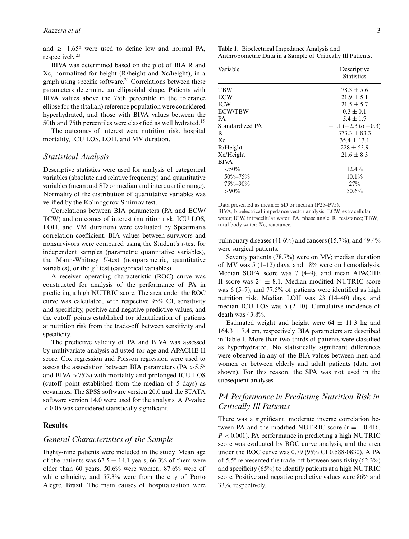and  $≥-1.65^\circ$  were used to define low and normal PA, respectively.<sup>23</sup>

BIVA was determined based on the plot of BIA R and Xc, normalized for height (R/height and Xc/height), in a graph using specific software.<sup>24</sup> Correlations between these parameters determine an ellipsoidal shape. Patients with BIVA values above the 75th percentile in the tolerance ellipse for the (Italian) reference population were considered hyperhydrated, and those with BIVA values between the 50th and 75th percentiles were classified as well hydrated.<sup>15</sup>

The outcomes of interest were nutrition risk, hospital mortality, ICU LOS, LOH, and MV duration.

#### *Statistical Analysis*

Descriptive statistics were used for analysis of categorical variables (absolute and relative frequency) and quantitative variables (mean and SD or median and interquartile range). Normality of the distribution of quantitative variables was verified by the Kolmogorov-Smirnov test.

Correlations between BIA parameters (PA and ECW/ TCW) and outcomes of interest (nutrition risk, ICU LOS, LOH, and VM duration) were evaluated by Spearman's correlation coefficient. BIA values between survivors and nonsurvivors were compared using the Student's *t*-test for independent samples (parametric quantitative variables), the Mann-Whitney *U*-test (nonparametric, quantitative variables), or the  $\chi^2$  test (categorical variables).

A receiver operating characteristic (ROC) curve was constructed for analysis of the performance of PA in predicting a high NUTRIC score. The area under the ROC curve was calculated, with respective 95% CI, sensitivity and specificity, positive and negative predictive values, and the cutoff points established for identification of patients at nutrition risk from the trade-off between sensitivity and specificity.

The predictive validity of PA and BIVA was assessed by multivariate analysis adjusted for age and APACHE II score. Cox regression and Poisson regression were used to assess the association between BIA parameters ( $PA > 5.5^{\circ}$ ) and BIVA  $>75\%$ ) with mortality and prolonged ICU LOS (cutoff point established from the median of 5 days) as covariates. The SPSS software version 20.0 and the STATA software version 14.0 were used for the analysis. A *P*-value < 0.05 was considered statistically significant.

## **Results**

## *General Characteristics of the Sample*

Eighty-nine patients were included in the study. Mean age of the patients was  $62.5 \pm 14.1$  years; 66.3% of them were older than 60 years, 50.6% were women, 87.6% were of white ethnicity, and 57.3% were from the city of Porto Alegre, Brazil. The main causes of hospitalization were **Table 1.** Bioelectrical Impedance Analysis and Anthropometric Data in a Sample of Critically Ill Patients.

| Variable        | Descriptive<br><b>Statistics</b> |  |
|-----------------|----------------------------------|--|
| TBW             | $78.3 \pm 5.6$                   |  |
| <b>ECW</b>      | $21.9 \pm 5.1$                   |  |
| <b>ICW</b>      | $21.5 \pm 5.7$                   |  |
| <b>ECW/TBW</b>  | $0.3 \pm 0.1$                    |  |
| <b>PA</b>       | $5.4 \pm 1.7$                    |  |
| Standardized PA | $-1.1$ (-2.3 to -0.3)            |  |
| R               | $373.3 \pm 83.3$                 |  |
| $X_{C}$         | $35.4 \pm 13.1$                  |  |
| R/Height        | $228 \pm 53.9$                   |  |
| Xc/Height       | $21.6 \pm 8.3$                   |  |
| <b>BIVA</b>     |                                  |  |
| ${<}50\%$       | 12.4%                            |  |
| $50\% - 75\%$   | $10.1\%$                         |  |
| $75\% - 90\%$   | 27%                              |  |
| $>90\%$         | 50.6%                            |  |

Data presented as mean  $\pm$  SD or median (P25–P75).

BIVA, bioelectrical impedance vector analysis; ECW, extracellular water; ICW, intracellular water; PA, phase angle; R, resistance; TBW, total body water; Xc, reactance.

pulmonary diseases  $(41.6\%)$  and cancers  $(15.7\%)$ , and  $49.4\%$ were surgical patients.

Seventy patients (78.7%) were on MV; median duration of MV was  $5(1-12)$  days, and  $18\%$  were on hemodialysis. Median SOFA score was 7 (4–9), and mean APACHE II score was  $24 \pm 8.1$ . Median modified NUTRIC score was 6 (5–7), and 77.5% of patients were identified as high nutrition risk. Median LOH was 23 (14–40) days, and median ICU LOS was 5 (2–10). Cumulative incidence of death was 43.8%.

Estimated weight and height were  $64 \pm 11.3$  kg and  $164.3 \pm 7.4$  cm, respectively. BIA parameters are described in Table 1. More than two-thirds of patients were classified as hyperhydrated. No statistically significant differences were observed in any of the BIA values between men and women or between elderly and adult patients (data not shown). For this reason, the SPA was not used in the subsequent analyses.

# *PA Performance in Predicting Nutrition Risk in Critically Ill Patients*

There was a significant, moderate inverse correlation between PA and the modified NUTRIC score  $(r = -0.416,$  $P < 0.001$ ). PA performance in predicting a high NUTRIC score was evaluated by ROC curve analysis, and the area under the ROC curve was 0.79 (95% CI 0.588-0830). A PA of 5.5 $\degree$  represented the trade-off between sensitivity (62.3 $\%$ ) and specificity (65%) to identify patients at a high NUTRIC score. Positive and negative predictive values were 86% and 33%, respectively.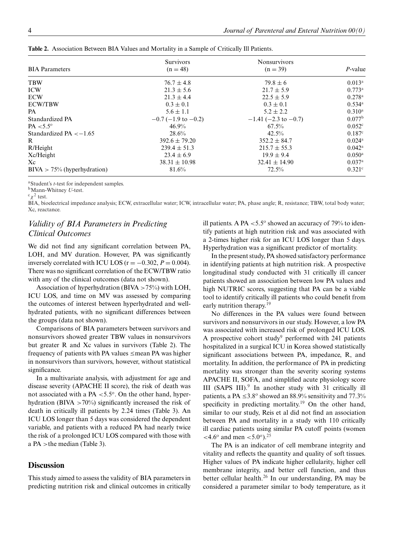|                                | <b>Survivors</b>         | <b>Nonsurvivors</b>    |                      |  |
|--------------------------------|--------------------------|------------------------|----------------------|--|
| <b>BIA</b> Parameters          | $(n = 48)$               | $(n = 39)$             | $P$ -value           |  |
| <b>TBW</b>                     | $76.7 \pm 4.8$           | $79.8 \pm 6$           | $0.013^{\rm a}$      |  |
| <b>ICW</b>                     | $21.3 \pm 5.6$           | $21.7 \pm 5.9$         | $0.773^{\rm a}$      |  |
| <b>ECW</b>                     | $21.3 \pm 4.4$           | $22.5 \pm 5.9$         | $0.278$ <sup>a</sup> |  |
| <b>ECW/TBW</b>                 | $0.3 \pm 0.1$            | $0.3 \pm 0.1$          | $0.534$ <sup>a</sup> |  |
| PA                             | $5.6 \pm 1.1$            | $5.2 \pm 2.2$          | $0.310^{\rm a}$      |  |
| Standardized PA                | $-0.7$ (-1.9 to $-0.2$ ) | $-1.41$ (-2.3 to -0.7) | 0.077 <sup>b</sup>   |  |
| $PA < 5.5^\circ$               | $46.9\%$                 | $67.5\%$               | 0.052c               |  |
| Standardized PA $<-1.65$       | 28.6%                    | 42.5%                  | 0.187c               |  |
| R.                             | $392.6 \pm 79.20$        | $352.2 \pm 84.7$       | $0.024$ <sup>a</sup> |  |
| R/Height                       | $239.4 \pm 51.3$         | $215.7 \pm 55.3$       | $0.042^{\rm a}$      |  |
| Xc/Height                      | $23.4 \pm 6.9$           | $19.9 \pm 9.4$         | $0.050$ <sup>a</sup> |  |
| Xc                             | $38.31 \pm 10.98$        | $32.41 \pm 14.90$      | $0.037$ <sup>a</sup> |  |
| $BIVA > 75\%$ (hyperhydration) | 81.6%                    | $72.5\%$               | $0.321$ <sup>c</sup> |  |

**Table 2.** Association Between BIA Values and Mortality in a Sample of Critically Ill Patients.

<sup>a</sup>Student's *t*-test for independent samples.

bMann-Whitney *U*-test.

 $c_\chi^2$  test.

BIA, bioelectrical impedance analysis; ECW, extracellular water; ICW, intracellular water; PA, phase angle; R, resistance; TBW, total body water; Xc, reactance.

# *Validity of BIA Parameters in Predicting Clinical Outcomes*

We did not find any significant correlation between PA, LOH, and MV duration. However, PA was significantly inversely correlated with ICU LOS ( $r = -0.302$ ,  $P = 0.004$ ). There was no significant correlation of the ECW/TBW ratio with any of the clinical outcomes (data not shown).

Association of hyperhydration (BIVA  $>75\%$ ) with LOH, ICU LOS, and time on MV was assessed by comparing the outcomes of interest between hyperhydrated and wellhydrated patients, with no significant differences between the groups (data not shown).

Comparisons of BIA parameters between survivors and nonsurvivors showed greater TBW values in nonsurvivors but greater R and Xc values in survivors (Table 2). The frequency of patients with PA values  $\leq$  mean PA was higher in nonsurvivors than survivors, however, without statistical significance.

In a multivariate analysis, with adjustment for age and disease severity (APACHE II score), the risk of death was not associated with a PA  $\lt 5.5^\circ$ . On the other hand, hyperhydration (BIVA  $>70\%$ ) significantly increased the risk of death in critically ill patients by 2.24 times (Table 3). An ICU LOS longer than 5 days was considered the dependent variable, and patients with a reduced PA had nearly twice the risk of a prolonged ICU LOS compared with those with a PA >the median (Table 3).

## **Discussion**

This study aimed to assess the validity of BIA parameters in predicting nutrition risk and clinical outcomes in critically ill patients. A PA  $<$  5.5 $\degree$  showed an accuracy of 79% to identify patients at high nutrition risk and was associated with a 2-times higher risk for an ICU LOS longer than 5 days. Hyperhydration was a significant predictor of mortality.

In the present study, PA showed satisfactory performance in identifying patients at high nutrition risk. A prospective longitudinal study conducted with 31 critically ill cancer patients showed an association between low PA values and high NUTRIC scores, suggesting that PA can be a viable tool to identify critically ill patients who could benefit from early nutrition therapy.<sup>19</sup>

No differences in the PA values were found between survivors and nonsurvivors in our study. However, a low PA was associated with increased risk of prolonged ICU LOS. A prospective cohort study<sup>9</sup> performed with 241 patients hospitalized in a surgical ICU in Korea showed statistically significant associations between PA, impedance, R, and mortality. In addition, the performance of PA in predicting mortality was stronger than the severity scoring systems APACHE II, SOFA, and simplified acute physiology score III (SAPS III). $9$  In another study with 31 critically ill patients, a PA  $\leq 3.8^{\circ}$  showed an 88.9% sensitivity and 77.3% specificity in predicting mortality.<sup>19</sup> On the other hand, similar to our study, Reis et al did not find an association between PA and mortality in a study with 110 critically ill cardiac patients using similar PA cutoff points (women  $<$ 4.6<sup>o</sup> and men  $<$ 5.0<sup>o</sup>).<sup>25</sup>

The PA is an indicator of cell membrane integrity and vitality and reflects the quantity and quality of soft tissues. Higher values of PA indicate higher cellularity, higher cell membrane integrity, and better cell function, and thus better cellular health.<sup>26</sup> In our understanding, PA may be considered a parameter similar to body temperature, as it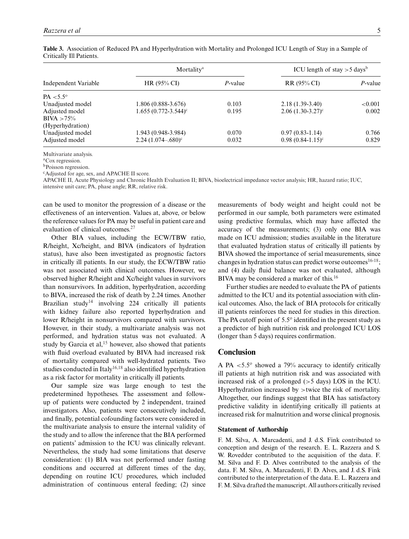| Independent Variable | Mortality <sup>a</sup>     |         | ICU length of stay $>$ 5 days <sup>b</sup> |            |
|----------------------|----------------------------|---------|--------------------------------------------|------------|
|                      | HR(95% CI)                 | P-value | RR(95% CI)                                 | P-value    |
| $PA < 5.5^{\circ}$   |                            |         |                                            |            |
| Unadjusted model     | 1.806 (0.888-3.676)        | 0.103   | $2.18(1.39-3.40)$                          | ${<}0.001$ |
| Adjusted model       | $1.655(0.772 - 3.544)^c$   | 0.195   | $2.06(1.30-3.27)^c$                        | 0.002      |
| $BIVA > 75\%$        |                            |         |                                            |            |
| (Hyperhydration)     |                            |         |                                            |            |
| Unadjusted model     | 1.943 (0.948-3.984)        | 0.070   | $0.97(0.83-1.14)$                          | 0.766      |
| Adjusted model       | $2.24(1.074-.680)^{\circ}$ | 0.032   | $0.98(0.84-1.15)^c$                        | 0.829      |

**Table 3.** Association of Reduced PA and Hyperhydration with Mortality and Prolonged ICU Length of Stay in a Sample of Critically Ill Patients.

Multivariate analysis.

aCox regression.

bPoisson regression.

cAdjusted for age, sex, and APACHE II score.

APACHE II, Acute Physiology and Chronic Health Evaluation II; BIVA, bioelectrical impedance vector analysis; HR, hazard ratio; IUC, intensive unit care; PA, phase angle; RR, relative risk.

can be used to monitor the progression of a disease or the effectiveness of an intervention. Values at, above, or below the reference values for PA may be useful in patient care and evaluation of clinical outcomes.<sup>27</sup>

Other BIA values, including the ECW/TBW ratio, R/height, Xc/height, and BIVA (indicators of hydration status), have also been investigated as prognostic factors in critically ill patients. In our study, the ECW/TBW ratio was not associated with clinical outcomes. However, we observed higher R/height and Xc/height values in survivors than nonsurvivors. In addition, hyperhydration, according to BIVA, increased the risk of death by 2.24 times. Another Brazilian study<sup>14</sup> involving 224 critically ill patients with kidney failure also reported hyperhydration and lower R/height in nonsurvivors compared with survivors. However, in their study, a multivariate analysis was not performed, and hydration status was not evaluated. A study by Garcia et al,<sup>15</sup> however, also showed that patients with fluid overload evaluated by BIVA had increased risk of mortality compared with well-hydrated patients. Two studies conducted in Italy<sup>16,18</sup> also identified hyperhydration as a risk factor for mortality in critically ill patients.

Our sample size was large enough to test the predetermined hypotheses. The assessment and followup of patients were conducted by 2 independent, trained investigators. Also, patients were consecutively included, and finally, potential cofounding factors were considered in the multivariate analysis to ensure the internal validity of the study and to allow the inference that the BIA performed on patients' admission to the ICU was clinically relevant. Nevertheless, the study had some limitations that deserve consideration: (1) BIA was not performed under fasting conditions and occurred at different times of the day, depending on routine ICU procedures, which included administration of continuous enteral feeding; (2) since measurements of body weight and height could not be performed in our sample, both parameters were estimated using predictive formulas, which may have affected the accuracy of the measurements; (3) only one BIA was made on ICU admission; studies available in the literature that evaluated hydration status of critically ill patients by BIVA showed the importance of serial measurements, since changes in hydration status can predict worse outcomes  $16-18$ ; and (4) daily fluid balance was not evaluated, although BIVA may be considered a marker of this.<sup>16</sup>

Further studies are needed to evaluate the PA of patients admitted to the ICU and its potential association with clinical outcomes. Also, the lack of BIA protocols for critically ill patients reinforces the need for studies in this direction. The PA cutoff point of  $5.5^\circ$  identified in the present study as a predictor of high nutrition risk and prolonged ICU LOS (longer than 5 days) requires confirmation.

# **Conclusion**

A PA  $<$  5.5 $\degree$  showed a 79% accuracy to identify critically ill patients at high nutrition risk and was associated with increased risk of a prolonged (>5 days) LOS in the ICU. Hyperhydration increased by >twice the risk of mortality. Altogether, our findings suggest that BIA has satisfactory predictive validity in identifying critically ill patients at increased risk for malnutrition and worse clinical prognosis.

#### **Statement of Authorship**

F. M. Silva, A. Marcadenti, and J. d.S. Fink contributed to conception and design of the research. E. L. Razzera and S. W. Rovedder contributed to the acquisition of the data. F. M. Silva and F. D. Alves contributed to the analysis of the data. F. M. Silva, A. Marcadenti, F. D. Alves, and J. d.S. Fink contributed to the interpretation of the data. E. L. Razzera and F. M. Silva drafted the manuscript. All authors critically revised